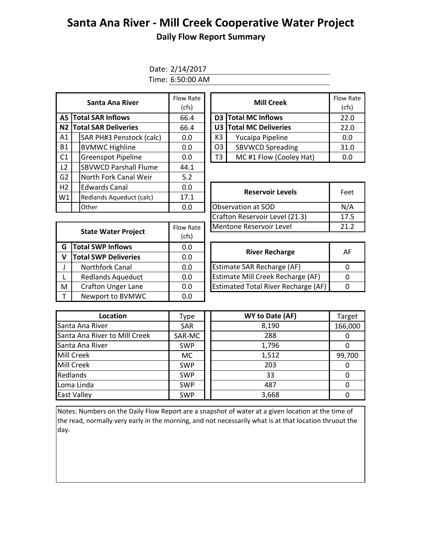# **Santa Ana River - Mill Creek Cooperative Water Project**

## **Daily Flow Report Summary**

Date: 2/14/2017 Time: 6:50:00 AM

| Santa Ana River |  |                                | Flow Rate<br>(cfs) |  |                         | <b>Mill Creek</b>       | Flow Ra<br>(cfs) |
|-----------------|--|--------------------------------|--------------------|--|-------------------------|-------------------------|------------------|
|                 |  | <b>A5 Total SAR Inflows</b>    | 66.4               |  |                         | D3 Total MC Inflows     | 22.0             |
|                 |  | <b>N2 Total SAR Deliveries</b> | 66.4               |  | U3 Total MC Deliveries  | 22.0                    |                  |
| A1              |  | SAR PH#3 Penstock (calc)       | 0.0                |  | K3                      | Yucaipa Pipeline        | 0.0              |
| <b>B1</b>       |  | <b>BVMWC Highline</b>          | 0.0                |  | O <sub>3</sub>          | <b>SBVWCD Spreading</b> | 31.0             |
| C <sub>1</sub>  |  | <b>Greenspot Pipeline</b>      | 0.0                |  | T3                      | 0.0                     |                  |
| L <sub>2</sub>  |  | <b>SBVWCD Parshall Flume</b>   | 44.1               |  |                         |                         |                  |
| G <sub>2</sub>  |  | North Fork Canal Weir          | 5.2                |  |                         |                         |                  |
| H <sub>2</sub>  |  | <b>Edwards Canal</b>           | 0.0                |  |                         | Feet                    |                  |
| W1              |  | Redlands Aqueduct (calc)       | 17.1               |  | <b>Reservoir Levels</b> |                         |                  |
|                 |  | Other                          | 0.0                |  | Observation at SOD      |                         |                  |

| w Rate<br>(cfs) |    | <b>Mill Creek</b>       | <b>Flow Rate</b><br>(cfs) |
|-----------------|----|-------------------------|---------------------------|
| 56.4            |    | D3 Total MC Inflows     | 22.0                      |
| 66.4            |    | U3 Total MC Deliveries  | 22.0                      |
| 0.0             | K3 | Yucaipa Pipeline        | 0.0                       |
| 0.0             | O3 | <b>SBVWCD Spreading</b> | 31.0                      |
| 0.0             | Т3 | MC#1 Flow (Cooley Hat)  | 0.0                       |

| <b>Edwards Canal</b>       | 0.0       | <b>Reservoir Levels</b>        | Feet |  |
|----------------------------|-----------|--------------------------------|------|--|
| Redlands Aqueduct (calc)   | 17.1      |                                |      |  |
| Other                      | 0.0       | <b>Observation at SOD</b>      | N/A  |  |
|                            |           | Crafton Reservoir Level (21.3) | 17.5 |  |
| <b>State Water Proiect</b> | Flow Rate | Mentone Reservoir Level        | 212  |  |
|                            |           |                                |      |  |

| 21.                                                                             |
|---------------------------------------------------------------------------------|
|                                                                                 |
|                                                                                 |
| Al                                                                              |
|                                                                                 |
| $\Omega$                                                                        |
| $\Omega$                                                                        |
| 0                                                                               |
|                                                                                 |
| Estimate Mill Creek Recharge (AF)<br><b>Estimated Total River Recharge (AF)</b> |

| <b>River Recharge</b>               | AF |
|-------------------------------------|----|
| Estimate SAR Recharge (AF)          |    |
| Estimate Mill Creek Recharge (AF)   |    |
| Estimated Total River Recharge (AF) |    |

| Location                      | Type       | WY to Date (AF) | <b>Target</b> |
|-------------------------------|------------|-----------------|---------------|
| Santa Ana River               | <b>SAR</b> | 8,190           | 166,000       |
| Santa Ana River to Mill Creek | SAR-MC     | 288             | 0             |
| Santa Ana River               | <b>SWP</b> | 1,796           | O             |
| Mill Creek                    | <b>MC</b>  | 1,512           | 99,700        |
| Mill Creek                    | <b>SWP</b> | 203             | 0             |
| Redlands                      | <b>SWP</b> | 33              | 0             |
| Loma Linda                    | <b>SWP</b> | 487             | 0             |
| <b>East Valley</b>            | <b>SWP</b> | 3,668           | $\mathbf{U}$  |

Notes: Numbers on the Daily Flow Report are a snapshot of water at a given location at the time of the read, normally very early in the morning, and not necessarily what is at that location thruout the day.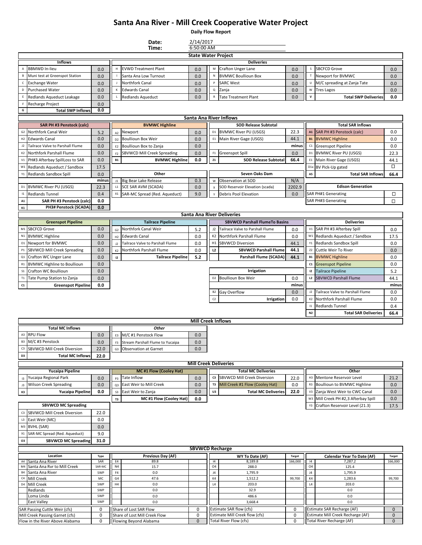## **Santa Ana River - Mill Creek Cooperative Water Project**

**Daily Flow Report**

| Date:                                    |                                                                    |               |                      |                                                         |                              | 2/14/2017<br>6:50:00 AM |                                                           |               |                      |                                                                 |                   |  |
|------------------------------------------|--------------------------------------------------------------------|---------------|----------------------|---------------------------------------------------------|------------------------------|-------------------------|-----------------------------------------------------------|---------------|----------------------|-----------------------------------------------------------------|-------------------|--|
|                                          |                                                                    |               |                      | Time:<br><b>State Water Project</b>                     |                              |                         |                                                           |               |                      |                                                                 |                   |  |
|                                          | <b>Inflows</b>                                                     |               |                      |                                                         |                              |                         | <b>Deliveries</b>                                         |               |                      |                                                                 |                   |  |
| А                                        | <b>BBMWD In-lieu</b>                                               | 0.0           | H                    | <b>EVWD Treatment Plant</b>                             | 0.0                          | М                       | Crafton Unger Lane                                        | 0.0           | s                    | <b>SBCFCD Grove</b>                                             | 0.0               |  |
| B                                        | Muni test at Greenspot Station                                     | 0.0           |                      | Santa Ana Low Turnout                                   | 0.0                          | N                       | <b>BVMWC Boullioun Box</b>                                | 0.0           |                      | Newport for BVMWC                                               | 0.0               |  |
| $\mathsf{C}$                             | <b>Exchange Water</b>                                              | 0.0           |                      | Northfork Canal                                         | 0.0                          |                         | <b>SARC West</b>                                          | 0.0           |                      | M/C spreading at Zanja Tate                                     | 0.0               |  |
| D                                        | <b>Purchased Water</b>                                             | 0.0           | К                    | <b>Edwards Canal</b>                                    | 0.0                          | $\sf Q$                 | Zanja                                                     | 0.0           | W                    | <b>Tres Lagos</b>                                               | 0.0               |  |
| Ε                                        | Redlands Aqueduct Leakage                                          | 0.0           |                      | Redlands Aqueduct                                       | 0.0                          | ${\sf R}$               | <b>Tate Treatment Plant</b>                               | 0.0           | $\mathsf{v}$         | <b>Total SWP Deliveries</b>                                     | 0.0               |  |
| F                                        | Recharge Project                                                   | 0.0           |                      |                                                         |                              |                         |                                                           |               |                      |                                                                 |                   |  |
| G                                        | <b>Total SWP Inflows</b>                                           | 0.0           |                      |                                                         |                              |                         |                                                           |               |                      |                                                                 |                   |  |
|                                          |                                                                    |               |                      |                                                         |                              |                         | <b>Santa Ana River Inflows</b>                            |               |                      |                                                                 |                   |  |
|                                          | <b>SAR PH #3 Penstock (calc)</b>                                   |               |                      | <b>BVMWC Highline</b>                                   |                              |                         | <b>SOD Release Subtotal</b>                               |               |                      | <b>Total SAR Inflows</b>                                        |                   |  |
| G <sub>2</sub>                           | Northfork Canal Weir                                               | 5.2           | A2                   | Newport                                                 | 0.0                          | D1                      | <b>BVMWC River PU (USGS)</b>                              | 22.3          |                      | A1 SAR PH #3 Penstock (calc)                                    | 0.0               |  |
|                                          | H <sub>2</sub> Edwards Canal                                       | 0.0           | D <sub>2</sub>       | <b>Boullioun Box Weir</b>                               | 0.0                          | E1                      | Main River Gage (USGS)                                    | 44.1          | <b>B1</b>            | <b>BVMWC Highline</b>                                           | 0.0               |  |
| J2                                       | Tailrace Valve to Parshall Flume                                   | 0.0           | E <sub>2</sub>       | Boullioun Box to Zanja                                  | 0.0                          |                         |                                                           | minus         | C1                   | <b>Greenspot Pipeline</b>                                       | 0.0               |  |
| K <sub>2</sub>                           | Northfork Parshall Flume                                           | 0.0           | F <sub>2</sub>       | SBVWCD Mill Creek Spreading                             | 0.0                          |                         | F1 Greenspot Spill                                        | 0.0           | $\mathsf{D}1$        | <b>BVMWC River PU (USGS)</b>                                    | 22.3              |  |
| V1                                       | PH#3 Afterbay SpillLoss to SAR                                     | 0.0           | <b>B1</b>            | <b>BVMWC Highline</b>                                   | 0.0                          | Z1                      | <b>SOD Release Subtotal</b>                               | 66.4          | E1                   | Main River Gage (USGS)                                          | 44.1              |  |
| W1                                       | Redlands Aqueduct / Sandbox                                        | 17.5          |                      |                                                         |                              |                         |                                                           |               |                      | BV Pick-Up gated                                                | □                 |  |
|                                          | Y1 Redlands Sandbox Spill                                          | 0.0           |                      | Other                                                   |                              |                         | Seven Oaks Dam                                            |               | A5                   | <b>Total SAR Inflows</b>                                        | 66.4              |  |
|                                          |                                                                    | minus         |                      | J1 Big Bear Lake Release                                | 0.3                          | W                       | Observation at SOD                                        | N/A           |                      | <b>Edison Generation</b>                                        |                   |  |
| D <sub>1</sub>                           | <b>BVMWC River PU (USGS)</b><br><b>Redlands Tunnel</b>             | 22.3          | L1<br>$x_1$          | SCE SAR AVM (SCADA)                                     | 0.0                          | $\pmb{\mathsf{x}}$      | SOD Reservoir Elevation (scada)                           | 2202.9        |                      | <b>SAR PH#1 Generating</b>                                      | □                 |  |
| $\mathsf{I} \mathsf{1}$<br>$\mathbf{A1}$ | SAR PH #3 Penstock (calc)                                          | 0.4           |                      | SAR-MC Spread (Red. Aqueduct)                           | 9.0                          |                         | Debris Pool Elevation                                     | 0.0           |                      | <b>SAR PH#3 Generating</b>                                      | □                 |  |
| K1                                       | PH3# Penstock (SCADA)                                              | 0.0<br>0.0    |                      |                                                         |                              |                         |                                                           |               |                      |                                                                 |                   |  |
|                                          |                                                                    |               |                      |                                                         |                              |                         | <b>Santa Ana River Deliveries</b>                         |               |                      |                                                                 |                   |  |
|                                          | <b>Greenspot Pipeline</b>                                          |               |                      | <b>Tailrace Pipeline</b>                                |                              |                         | <b>SBVWCD Parshall FlumeTo Basins</b>                     |               |                      | <b>Deliveries</b>                                               |                   |  |
|                                          | M1 SBCFCD Grove                                                    | 0.0           |                      | Northfork Canal Weir                                    |                              | J2                      | Tailrace Valve to Parshall Flume                          | 0.0           | V1                   | SAR PH #3 Afterbay Spill                                        | 0.0               |  |
| N1                                       | <b>BVMWC Highline</b>                                              | 0.0           | G <sub>2</sub><br>H2 | <b>Edwards Canal</b>                                    | 5.2<br>0.0                   | K2                      | Northfork Parshall Flume                                  | 0.0           | W1                   | Redlands Aqueduct / Sandbox                                     | 17.5              |  |
|                                          | 01 Newport for BVMWC                                               | 0.0           | J2                   | Tailrace Valve to Parshall Flume                        | 0.0                          | H1                      | <b>SBVWCD Diversion</b>                                   | 44.1          | Y1                   | Redlands Sandbox Spill                                          | 0.0               |  |
| $\mathsf{P}1$                            | <b>SBVWCD Mill Creek Spreading</b>                                 | 0.0           | K <sub>2</sub>       | Northfork Parshall Flume                                | 0.0                          | L2                      | <b>SBVWCD Parshall Flume</b>                              | 44.1          | Z <sub>2</sub>       | Cuttle Weir To River                                            | 0.0               |  |
| Q1                                       | Crafton WC Unger Lane                                              | 0.0           | 12                   | <b>Tailrace Pipeline</b>                                | 5.2                          |                         | Parshall Flume (SCADA)                                    | 44.1          | <b>B1</b>            | <b>BVMWC Highline</b>                                           | 0.0               |  |
| R1                                       | <b>BVMWC Highline to Boullioun</b>                                 | 0.0           |                      |                                                         |                              |                         |                                                           |               | C1                   | <b>Greenspot Pipeline</b>                                       | 0.0               |  |
| S <sub>1</sub>                           | Crafton WC Boullioun                                               | 0.0           |                      |                                                         |                              |                         | Irrigation                                                |               | 12                   | <b>Tailrace Pipeline</b>                                        | 5.2               |  |
| T <sub>1</sub>                           | Tate Pump Station to Zanja                                         | 0.0           |                      |                                                         |                              |                         | D2 Boullioun Box Weir                                     | 0.0           | L2                   | <b>SBVWCD Parshall Flume</b>                                    | 44.1              |  |
| $\mathsf{C1}$                            | <b>Greenspot Pipeline</b>                                          | 0.0           |                      |                                                         |                              |                         |                                                           | minus         |                      |                                                                 | minus             |  |
|                                          |                                                                    |               |                      |                                                         |                              |                         | B <sub>2</sub> Gay Overflow                               | 0.0           | J2                   | Tailrace Valve to Parshall Flume                                | 0.0               |  |
|                                          |                                                                    |               |                      |                                                         |                              | C <sub>2</sub>          | Irrigation                                                | 0.0           | K2                   | Northfork Parshall Flume                                        | 0.0               |  |
|                                          |                                                                    |               |                      |                                                         |                              |                         |                                                           |               | $\mathsf{I}1$        | <b>Redlands Tunnel</b>                                          | 0.4               |  |
|                                          |                                                                    |               |                      |                                                         |                              |                         |                                                           |               | N2                   | <b>Total SAR Deliveries</b>                                     | 66.4              |  |
|                                          |                                                                    |               |                      |                                                         | <b>Mill Creek Inflows</b>    |                         |                                                           |               |                      |                                                                 |                   |  |
|                                          | <b>Total MC Inflows</b>                                            |               |                      | Other                                                   |                              |                         |                                                           |               |                      |                                                                 |                   |  |
| A3                                       | <b>RPU Flow</b>                                                    | 0.0           |                      | E3 M/C #1 Penstock Flow                                 | 0.0                          |                         |                                                           |               |                      |                                                                 |                   |  |
|                                          | B3 M/C #3 Penstock                                                 | 0.0           | F3                   | Stream Parshall Flume to Yucaipa                        | 0.0                          |                         |                                                           |               |                      |                                                                 |                   |  |
| C <sub>3</sub>                           | <b>SBVWCD Mill Creek Diversion</b>                                 | 22.0          |                      | G3 Observation at Garnet                                | $0.0\,$                      |                         |                                                           |               |                      |                                                                 |                   |  |
| D3                                       | <b>Total MC Inflows</b>                                            | 22.0          |                      |                                                         |                              |                         |                                                           |               |                      |                                                                 |                   |  |
|                                          |                                                                    |               |                      |                                                         | <b>Mill Creek Deliveries</b> |                         |                                                           |               |                      |                                                                 |                   |  |
|                                          | <b>Yucaipa Pipeline</b>                                            |               |                      | <b>MC#1 Flow (Cooley Hat)</b>                           |                              |                         | <b>Total MC Deliveries</b>                                |               |                      | Other                                                           |                   |  |
| 13                                       | Yucaipa Regional Park                                              | 0.0           | P <sub>3</sub>       | Tate Inflow                                             | 0.0                          |                         | c3 SBVWCD Mill Creek Diversion                            | 22.0          | H3                   | Mentone Reservoir Level                                         | 21.2              |  |
| J3                                       | <b>Wilson Creek Spreading</b>                                      | 0.0           | Q3                   | East Weir to Mill Creek                                 | 0.0                          | <b>T3</b>               | Mill Creek #1 Flow (Cooley Hat)                           | 0.0           | R3                   | Boullioun to BVMWC Highline                                     | 0.0               |  |
| K3                                       | Yucaipa Pipeline                                                   | 0.0           | $\sf S3$             | East Weir to Zanja                                      | 0.0                          | U3                      | <b>Total MC Deliveries</b>                                | 22.0          |                      | V3 Zanja West Weir to CWC Canal                                 | 0.0               |  |
|                                          |                                                                    |               | T3                   | MC #1 Flow (Cooley Hat)                                 | 0.0                          |                         |                                                           |               | W3                   | Mill Creek PH #2,3 Afterbay Spill                               | 0.0               |  |
|                                          | <b>SBVWCD MC Spreading</b>                                         |               |                      |                                                         |                              |                         |                                                           |               | Y3                   | Crafton Reservoir Level (21.3)                                  | 17.5              |  |
|                                          | C3 SBVWCD Mill Creek Diversion                                     | 22.0          |                      |                                                         |                              |                         |                                                           |               |                      |                                                                 |                   |  |
| $\mathsf{L}3$                            | East Weir (MC)                                                     | 0.0           |                      |                                                         |                              |                         |                                                           |               |                      |                                                                 |                   |  |
|                                          | M3 BVHL (SAR)                                                      | 0.0           |                      |                                                         |                              |                         |                                                           |               |                      |                                                                 |                   |  |
| X1                                       | SAR-MC Spread (Red. Aqueduct)                                      | 9.0           |                      |                                                         |                              |                         |                                                           |               |                      |                                                                 |                   |  |
| O3                                       | <b>SBVWCD MC Spreading</b>                                         | 31.0          |                      |                                                         |                              |                         |                                                           |               |                      |                                                                 |                   |  |
|                                          |                                                                    |               |                      |                                                         | <b>SBVWCD Recharge</b>       |                         |                                                           |               |                      |                                                                 |                   |  |
|                                          | Location                                                           | Type          |                      | Previous Day (AF)                                       |                              |                         | WY To Date (AF)                                           | <b>Target</b> |                      | <b>Calendar Year To Date (AF)</b>                               | <b>Target</b>     |  |
|                                          | A4 Santa Ana River                                                 | SAR           | E4                   | 89.8                                                    |                              | 4                       | 8,189.8                                                   | 166,000       | 14                   | 7,287.2                                                         | 166,000           |  |
|                                          | M4 Santa Ana Rvr to Mill Creek<br>Santa Ana River                  | SAR-MC<br>SWP | N <sub>4</sub><br>F4 | 15.7                                                    |                              | O <sub>4</sub><br>J4    | 288.0                                                     |               | O <sub>4</sub><br>J4 | 125.4                                                           |                   |  |
| <b>B4</b><br>$\mathsf{C}4$               | Mill Creek                                                         | MC            | G <sub>4</sub>       | $0.0\,$<br>47.6                                         |                              | K4                      | 1,795.9<br>1,512.2                                        | 99,700        | K4                   | 1,795.9<br>1,283.6                                              | 99,700            |  |
|                                          | D4 Mill Creek                                                      | SWP           | H4                   | $0.0\,$                                                 |                              | L4                      | 203.0                                                     |               | L4                   | 203.0                                                           |                   |  |
|                                          | Redlands                                                           | SWP           |                      | $0.0\,$                                                 |                              |                         | 32.9                                                      |               |                      | 0.0                                                             |                   |  |
|                                          | Loma Linda                                                         | SWP           |                      | $0.0\,$                                                 |                              |                         | 486.6                                                     |               |                      | 0.0                                                             |                   |  |
|                                          | <b>East Valley</b>                                                 | SWP           |                      | 0.0                                                     |                              |                         | 3,668.4                                                   |               |                      | 0.0                                                             |                   |  |
| SAR Passing Cuttle Weir (cfs)            |                                                                    | 0             |                      | Share of Lost SAR Flow                                  | 0                            |                         | Estimate SAR flow (cfs)<br>Estimate Mill Creek flow (cfs) | 0             |                      | Estimate SAR Recharge (AF)<br>Estimate Mill Creek Recharge (AF) | $\mathbf 0$       |  |
|                                          | Mill Creek Passing Garnet (cfs)<br>Flow in the River Above Alabama | 0<br>0        |                      | Share of Lost Mill Creek Flow<br>Flowing Beyond Alabama | 0<br>$\mathbf 0$             |                         | Total River Flow (cfs)                                    | 0<br>0        |                      | Total River Recharge (AF)                                       | 0<br>$\mathbf{0}$ |  |
|                                          |                                                                    |               |                      |                                                         |                              |                         |                                                           |               |                      |                                                                 |                   |  |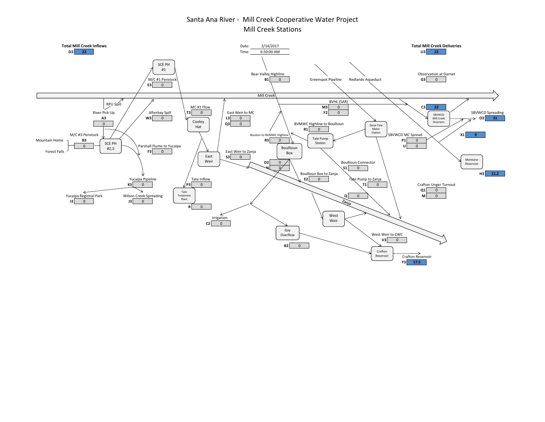### Santa Ana River - Mill Creek Cooperative Water Project Mill Creek Stations